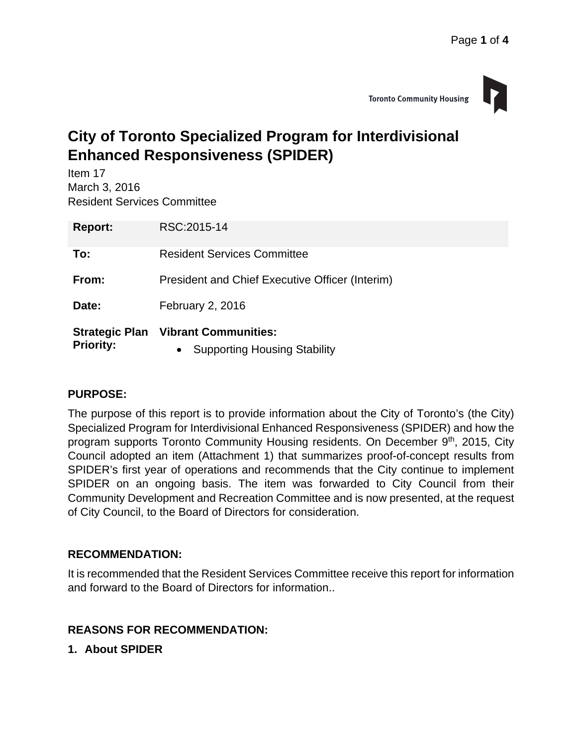

# **City of Toronto Specialized Program for Interdivisional Enhanced Responsiveness (SPIDER)**

Item 17 March 3, 2016 Resident Services Committee

| <b>Report:</b>                            | RSC:2015-14                                      |
|-------------------------------------------|--------------------------------------------------|
| To:                                       | <b>Resident Services Committee</b>               |
| From:                                     | President and Chief Executive Officer (Interim)  |
| Date:                                     | February 2, 2016                                 |
| <b>Strategic Plan</b><br><b>Priority:</b> | <b>Vibrant Communities:</b>                      |
|                                           | <b>Supporting Housing Stability</b><br>$\bullet$ |

# **PURPOSE:**

The purpose of this report is to provide information about the City of Toronto's (the City) Specialized Program for Interdivisional Enhanced Responsiveness (SPIDER) and how the program supports Toronto Community Housing residents. On December 9<sup>th</sup>, 2015, City Council adopted an item (Attachment 1) that summarizes proof-of-concept results from SPIDER's first year of operations and recommends that the City continue to implement SPIDER on an ongoing basis. The item was forwarded to City Council from their Community Development and Recreation Committee and is now presented, at the request of City Council, to the Board of Directors for consideration.

# **RECOMMENDATION:**

It is recommended that the Resident Services Committee receive this report for information and forward to the Board of Directors for information..

# **REASONS FOR RECOMMENDATION:**

**1. About SPIDER**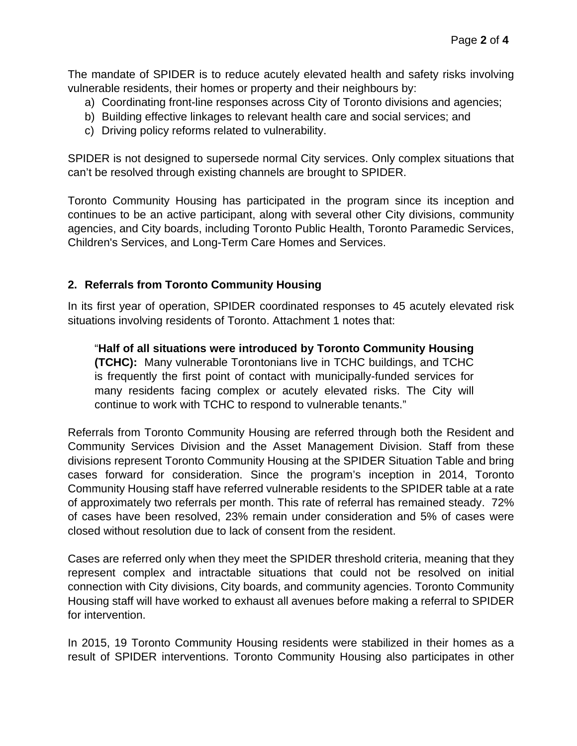The mandate of SPIDER is to reduce acutely elevated health and safety risks involving vulnerable residents, their homes or property and their neighbours by:

- a) Coordinating front-line responses across City of Toronto divisions and agencies;
- b) Building effective linkages to relevant health care and social services; and
- c) Driving policy reforms related to vulnerability.

SPIDER is not designed to supersede normal City services. Only complex situations that can't be resolved through existing channels are brought to SPIDER.

Toronto Community Housing has participated in the program since its inception and continues to be an active participant, along with several other City divisions, community agencies, and City boards, including Toronto Public Health, Toronto Paramedic Services, Children's Services, and Long-Term Care Homes and Services.

#### **2. Referrals from Toronto Community Housing**

In its first year of operation, SPIDER coordinated responses to 45 acutely elevated risk situations involving residents of Toronto. Attachment 1 notes that:

"**Half of all situations were introduced by Toronto Community Housing (TCHC):** Many vulnerable Torontonians live in TCHC buildings, and TCHC is frequently the first point of contact with municipally-funded services for many residents facing complex or acutely elevated risks. The City will continue to work with TCHC to respond to vulnerable tenants."

Referrals from Toronto Community Housing are referred through both the Resident and Community Services Division and the Asset Management Division. Staff from these divisions represent Toronto Community Housing at the SPIDER Situation Table and bring cases forward for consideration. Since the program's inception in 2014, Toronto Community Housing staff have referred vulnerable residents to the SPIDER table at a rate of approximately two referrals per month. This rate of referral has remained steady. 72% of cases have been resolved, 23% remain under consideration and 5% of cases were closed without resolution due to lack of consent from the resident.

Cases are referred only when they meet the SPIDER threshold criteria, meaning that they represent complex and intractable situations that could not be resolved on initial connection with City divisions, City boards, and community agencies. Toronto Community Housing staff will have worked to exhaust all avenues before making a referral to SPIDER for intervention.

In 2015, 19 Toronto Community Housing residents were stabilized in their homes as a result of SPIDER interventions. Toronto Community Housing also participates in other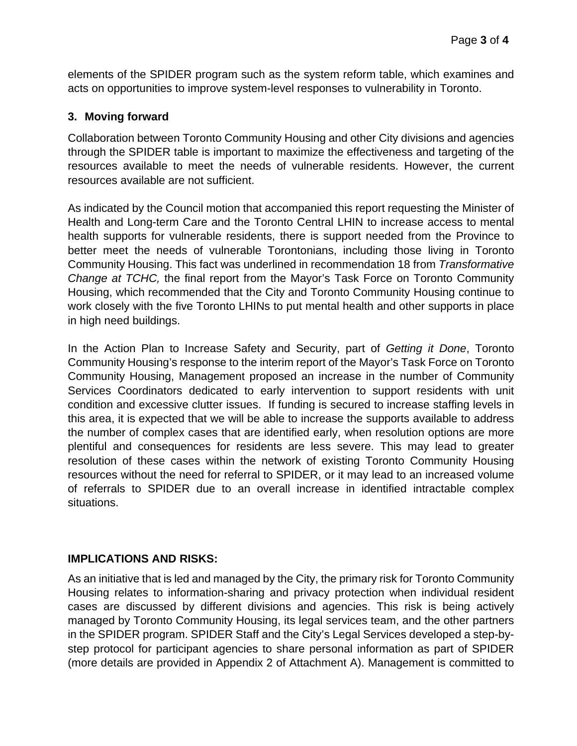elements of the SPIDER program such as the system reform table, which examines and acts on opportunities to improve system-level responses to vulnerability in Toronto.

#### **3. Moving forward**

Collaboration between Toronto Community Housing and other City divisions and agencies through the SPIDER table is important to maximize the effectiveness and targeting of the resources available to meet the needs of vulnerable residents. However, the current resources available are not sufficient.

As indicated by the Council motion that accompanied this report requesting the Minister of Health and Long-term Care and the Toronto Central LHIN to increase access to mental health supports for vulnerable residents, there is support needed from the Province to better meet the needs of vulnerable Torontonians, including those living in Toronto Community Housing. This fact was underlined in recommendation 18 from *Transformative Change at TCHC,* the final report from the Mayor's Task Force on Toronto Community Housing, which recommended that the City and Toronto Community Housing continue to work closely with the five Toronto LHINs to put mental health and other supports in place in high need buildings.

In the Action Plan to Increase Safety and Security, part of *Getting it Done*, Toronto Community Housing's response to the interim report of the Mayor's Task Force on Toronto Community Housing, Management proposed an increase in the number of Community Services Coordinators dedicated to early intervention to support residents with unit condition and excessive clutter issues. If funding is secured to increase staffing levels in this area, it is expected that we will be able to increase the supports available to address the number of complex cases that are identified early, when resolution options are more plentiful and consequences for residents are less severe. This may lead to greater resolution of these cases within the network of existing Toronto Community Housing resources without the need for referral to SPIDER, or it may lead to an increased volume of referrals to SPIDER due to an overall increase in identified intractable complex situations.

#### **IMPLICATIONS AND RISKS:**

As an initiative that is led and managed by the City, the primary risk for Toronto Community Housing relates to information-sharing and privacy protection when individual resident cases are discussed by different divisions and agencies. This risk is being actively managed by Toronto Community Housing, its legal services team, and the other partners in the SPIDER program. SPIDER Staff and the City's Legal Services developed a step-bystep protocol for participant agencies to share personal information as part of SPIDER (more details are provided in Appendix 2 of Attachment A). Management is committed to